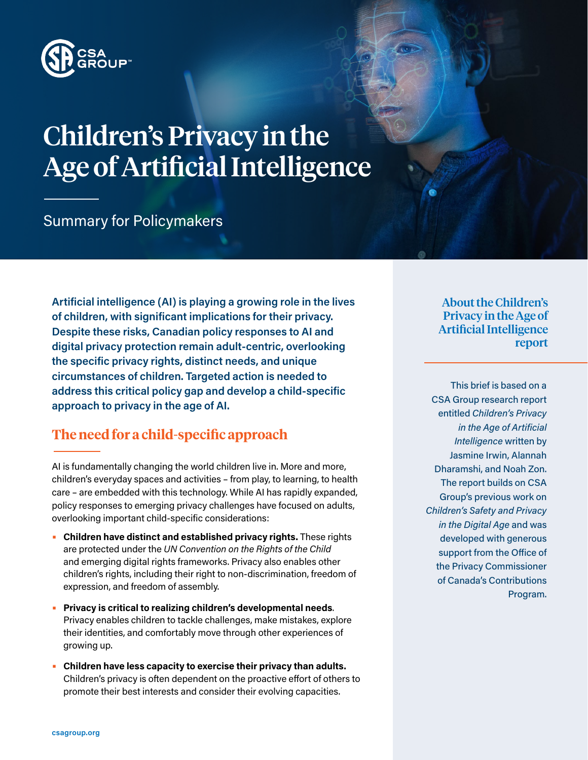

# Children's Privacy in the Age of Artificial Intelligence

Summary for Policymakers

**Artificial intelligence (AI) is playing a growing role in the lives of children, with significant implications for their privacy. Despite these risks, Canadian policy responses to AI and digital privacy protection remain adult-centric, overlooking the specific privacy rights, distinct needs, and unique circumstances of children. Targeted action is needed to address this critical policy gap and develop a child-specific approach to privacy in the age of AI.** 

### **The need for a child-specific approach**

AI is fundamentally changing the world children live in. More and more, children's everyday spaces and activities – from play, to learning, to health care – are embedded with this technology. While AI has rapidly expanded, policy responses to emerging privacy challenges have focused on adults, overlooking important child-specific considerations:

- **• Children have distinct and established privacy rights.** These rights are protected under the *UN Convention on the Rights of the Child* and emerging digital rights frameworks. Privacy also enables other children's rights, including their right to non-discrimination, freedom of expression, and freedom of assembly.
- **• Privacy is critical to realizing children's developmental needs**. Privacy enables children to tackle challenges, make mistakes, explore their identities, and comfortably move through other experiences of growing up.
- **• Children have less capacity to exercise their privacy than adults.**  Children's privacy is often dependent on the proactive effort of others to promote their best interests and consider their evolving capacities.

About the Children's Privacy in the Age of Artificial Intelligence report

This brief is based on a CSA Group research report entitled *Children's Privacy in the Age of Artificial Intelligence* written by Jasmine Irwin, Alannah Dharamshi, and Noah Zon. The report builds on CSA Group's previous work on *Children's Safety and Privacy in the Digital Age* and was developed with generous support from the Office of the Privacy Commissioner of Canada's Contributions Program.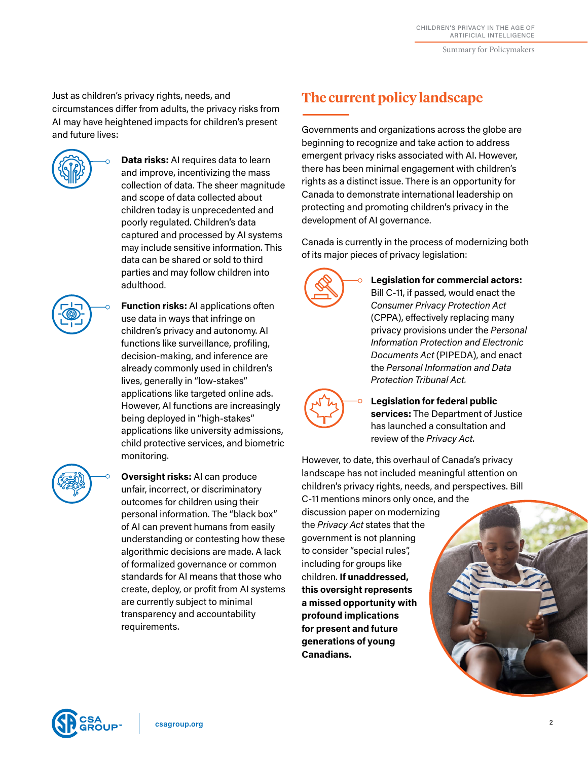Summary for Policymakers

Just as children's privacy rights, needs, and circumstances differ from adults, the privacy risks from AI may have heightened impacts for children's present and future lives:



**• Data risks:** AI requires data to learn and improve, incentivizing the mass collection of data. The sheer magnitude and scope of data collected about children today is unprecedented and poorly regulated. Children's data captured and processed by AI systems may include sensitive information. This data can be shared or sold to third parties and may follow children into adulthood.

**• Function risks:** AI applications often use data in ways that infringe on children's privacy and autonomy. AI functions like surveillance, profiling, decision-making, and inference are already commonly used in children's lives, generally in "low-stakes" applications like targeted online ads. However, AI functions are increasingly being deployed in "high-stakes" applications like university admissions, child protective services, and biometric monitoring.



**• Oversight risks:** AI can produce unfair, incorrect, or discriminatory outcomes for children using their personal information. The "black box" of AI can prevent humans from easily understanding or contesting how these algorithmic decisions are made. A lack of formalized governance or common standards for AI means that those who create, deploy, or profit from AI systems are currently subject to minimal transparency and accountability requirements.

## **The current policy landscape**

Governments and organizations across the globe are beginning to recognize and take action to address emergent privacy risks associated with AI. However, there has been minimal engagement with children's rights as a distinct issue. There is an opportunity for Canada to demonstrate international leadership on protecting and promoting children's privacy in the development of AI governance.

Canada is currently in the process of modernizing both of its major pieces of privacy legislation:



**• Legislation for commercial actors:** Bill C-11, if passed, would enact the *Consumer Privacy Protection Act*  (CPPA), effectively replacing many privacy provisions under the *Personal Information Protection and Electronic Documents Act* (PIPEDA), and enact the *Personal Information and Data Protection Tribunal Act.*



**• Legislation for federal public services:** The Department of Justice has launched a consultation and review of the *Privacy Act.*

However, to date, this overhaul of Canada's privacy landscape has not included meaningful attention on children's privacy rights, needs, and perspectives. Bill

C-11 mentions minors only once, and the discussion paper on modernizing the *Privacy Act* states that the government is not planning to consider "special rules", including for groups like children. **If unaddressed, this oversight represents a missed opportunity with profound implications for present and future generations of young Canadians.**